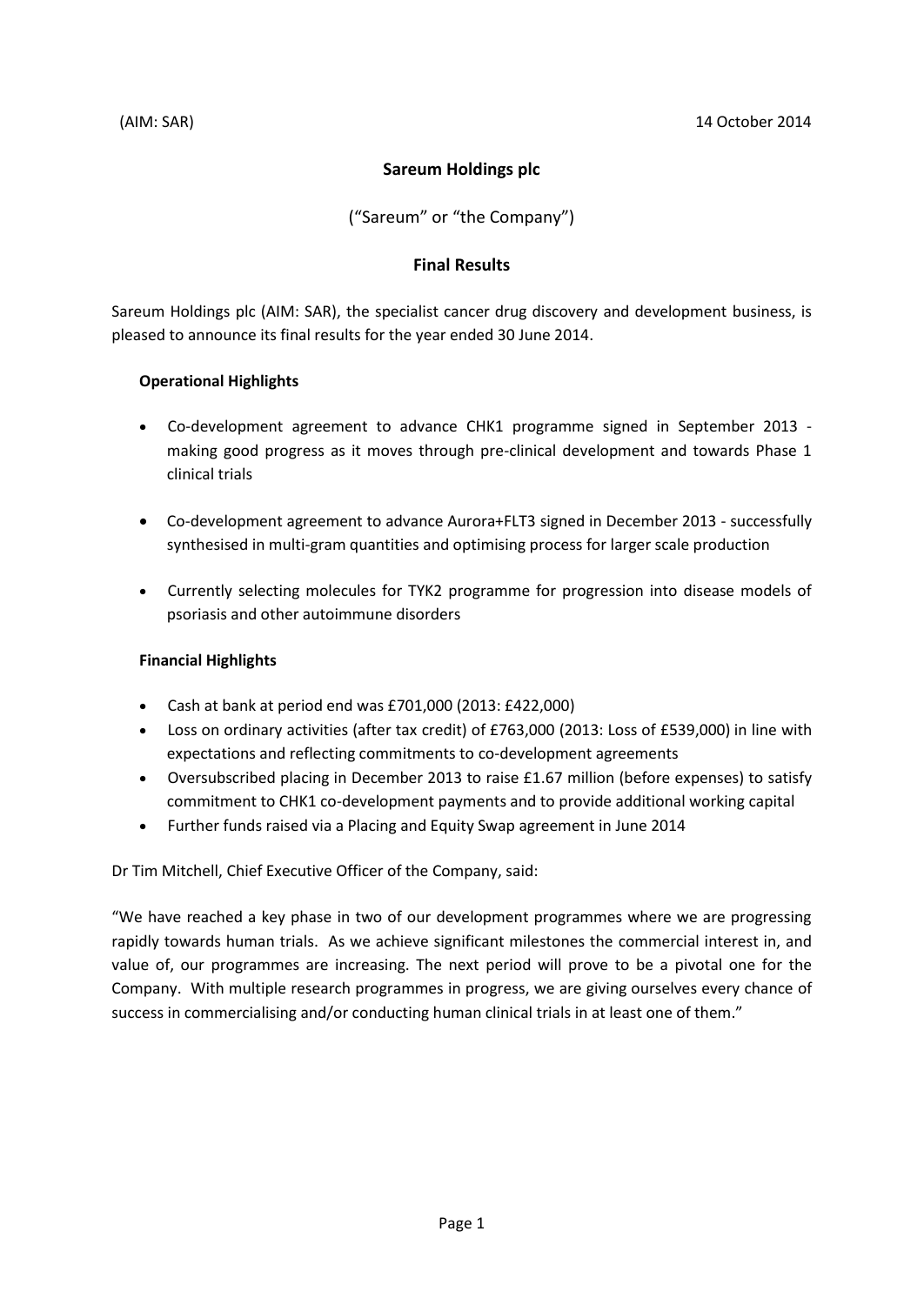# **Sareum Holdings plc**

("Sareum" or "the Company")

# **Final Results**

Sareum Holdings plc (AIM: SAR), the specialist cancer drug discovery and development business, is pleased to announce its final results for the year ended 30 June 2014.

# **Operational Highlights**

- Co-development agreement to advance CHK1 programme signed in September 2013 making good progress as it moves through pre-clinical development and towards Phase 1 clinical trials
- Co-development agreement to advance Aurora+FLT3 signed in December 2013 successfully synthesised in multi-gram quantities and optimising process for larger scale production
- Currently selecting molecules for TYK2 programme for progression into disease models of psoriasis and other autoimmune disorders

# **Financial Highlights**

- Cash at bank at period end was £701,000 (2013: £422,000)
- Loss on ordinary activities (after tax credit) of £763,000 (2013: Loss of £539,000) in line with expectations and reflecting commitments to co-development agreements
- Oversubscribed placing in December 2013 to raise £1.67 million (before expenses) to satisfy commitment to CHK1 co-development payments and to provide additional working capital
- Further funds raised via a Placing and Equity Swap agreement in June 2014

Dr Tim Mitchell, Chief Executive Officer of the Company, said:

"We have reached a key phase in two of our development programmes where we are progressing rapidly towards human trials. As we achieve significant milestones the commercial interest in, and value of, our programmes are increasing. The next period will prove to be a pivotal one for the Company. With multiple research programmes in progress, we are giving ourselves every chance of success in commercialising and/or conducting human clinical trials in at least one of them."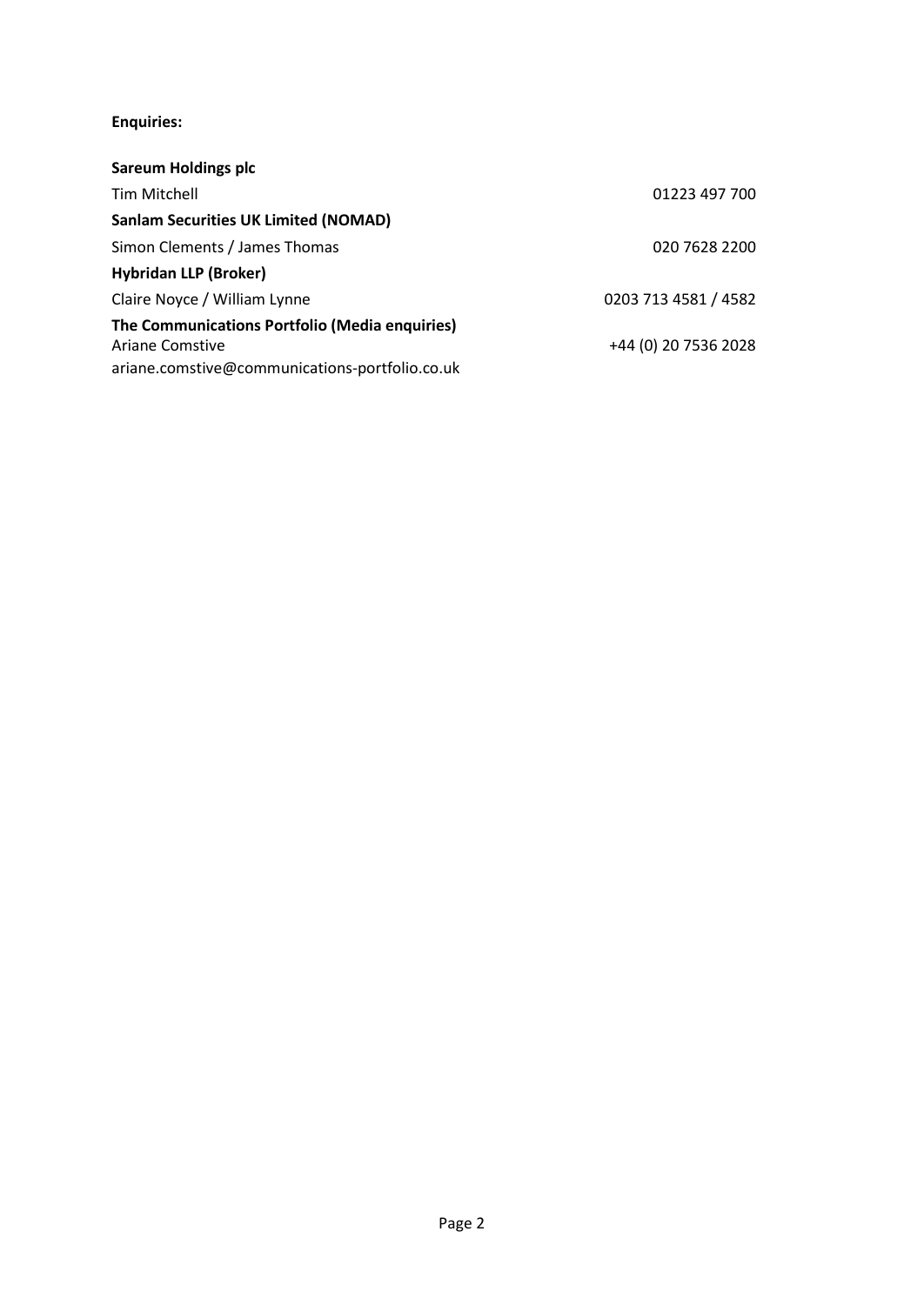# **Enquiries:**

| <b>Sareum Holdings plc</b>                                                                                                 |                      |
|----------------------------------------------------------------------------------------------------------------------------|----------------------|
| Tim Mitchell                                                                                                               | 01223 497 700        |
| <b>Sanlam Securities UK Limited (NOMAD)</b>                                                                                |                      |
| Simon Clements / James Thomas                                                                                              | 020 7628 2200        |
| <b>Hybridan LLP (Broker)</b>                                                                                               |                      |
| Claire Noyce / William Lynne                                                                                               | 0203 713 4581 / 4582 |
| The Communications Portfolio (Media enquiries)<br><b>Ariane Comstive</b><br>ariane.comstive@communications-portfolio.co.uk | +44 (0) 20 7536 2028 |
|                                                                                                                            |                      |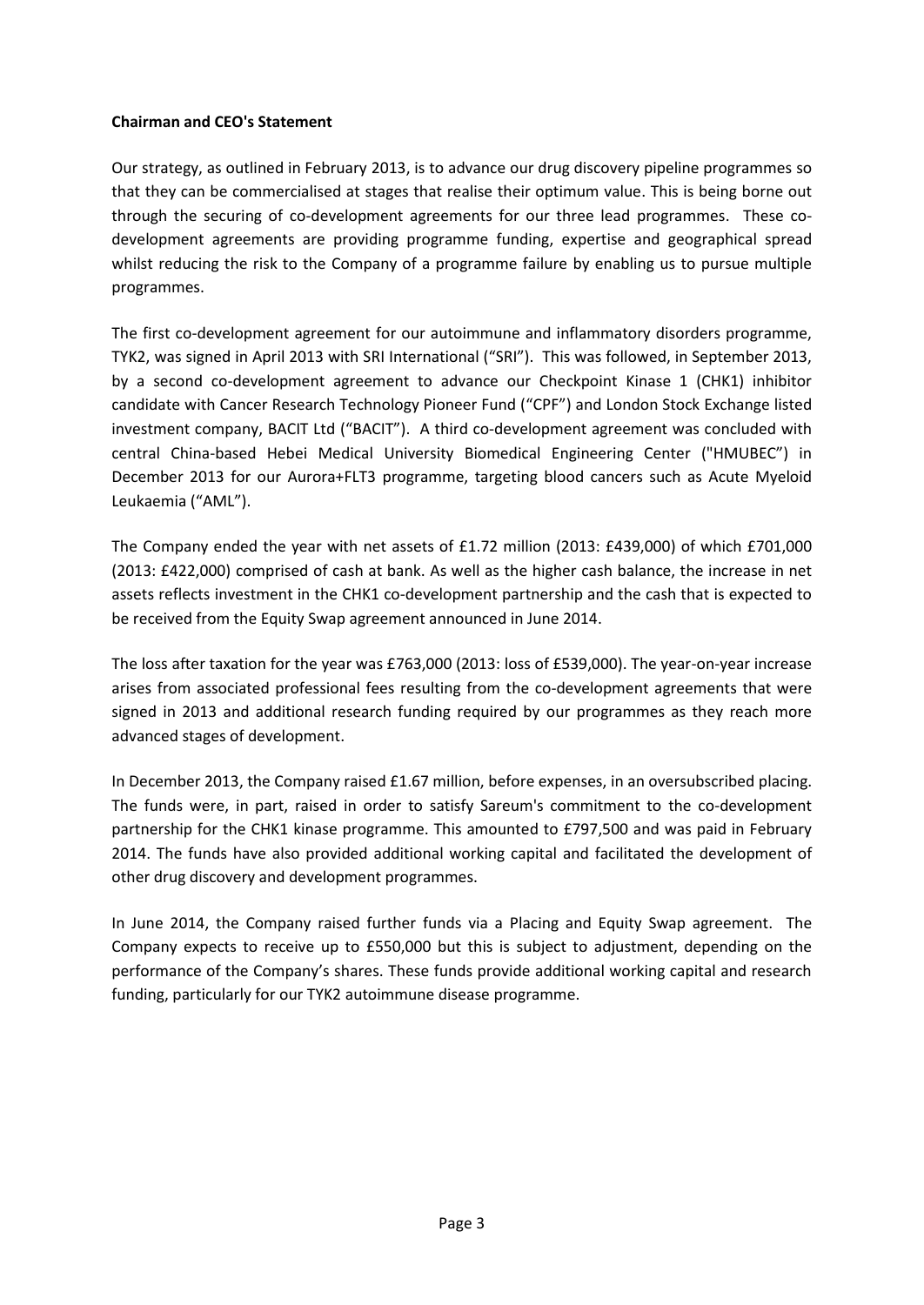## **Chairman and CEO's Statement**

Our strategy, as outlined in February 2013, is to advance our drug discovery pipeline programmes so that they can be commercialised at stages that realise their optimum value. This is being borne out through the securing of co-development agreements for our three lead programmes. These codevelopment agreements are providing programme funding, expertise and geographical spread whilst reducing the risk to the Company of a programme failure by enabling us to pursue multiple programmes.

The first co-development agreement for our autoimmune and inflammatory disorders programme, TYK2, was signed in April 2013 with SRI International ("SRI"). This was followed, in September 2013, by a second co-development agreement to advance our Checkpoint Kinase 1 (CHK1) inhibitor candidate with Cancer Research Technology Pioneer Fund ("CPF") and London Stock Exchange listed investment company, BACIT Ltd ("BACIT"). A third co-development agreement was concluded with central China-based Hebei Medical University Biomedical Engineering Center ("HMUBEC") in December 2013 for our Aurora+FLT3 programme, targeting blood cancers such as Acute Myeloid Leukaemia ("AML").

The Company ended the year with net assets of £1.72 million (2013: £439,000) of which £701,000 (2013: £422,000) comprised of cash at bank. As well as the higher cash balance, the increase in net assets reflects investment in the CHK1 co-development partnership and the cash that is expected to be received from the Equity Swap agreement announced in June 2014.

The loss after taxation for the year was £763,000 (2013: loss of £539,000). The year-on-year increase arises from associated professional fees resulting from the co-development agreements that were signed in 2013 and additional research funding required by our programmes as they reach more advanced stages of development.

In December 2013, the Company raised £1.67 million, before expenses, in an oversubscribed placing. The funds were, in part, raised in order to satisfy Sareum's commitment to the co-development partnership for the CHK1 kinase programme. This amounted to £797,500 and was paid in February 2014. The funds have also provided additional working capital and facilitated the development of other drug discovery and development programmes.

In June 2014, the Company raised further funds via a Placing and Equity Swap agreement. The Company expects to receive up to £550,000 but this is subject to adjustment, depending on the performance of the Company's shares. These funds provide additional working capital and research funding, particularly for our TYK2 autoimmune disease programme.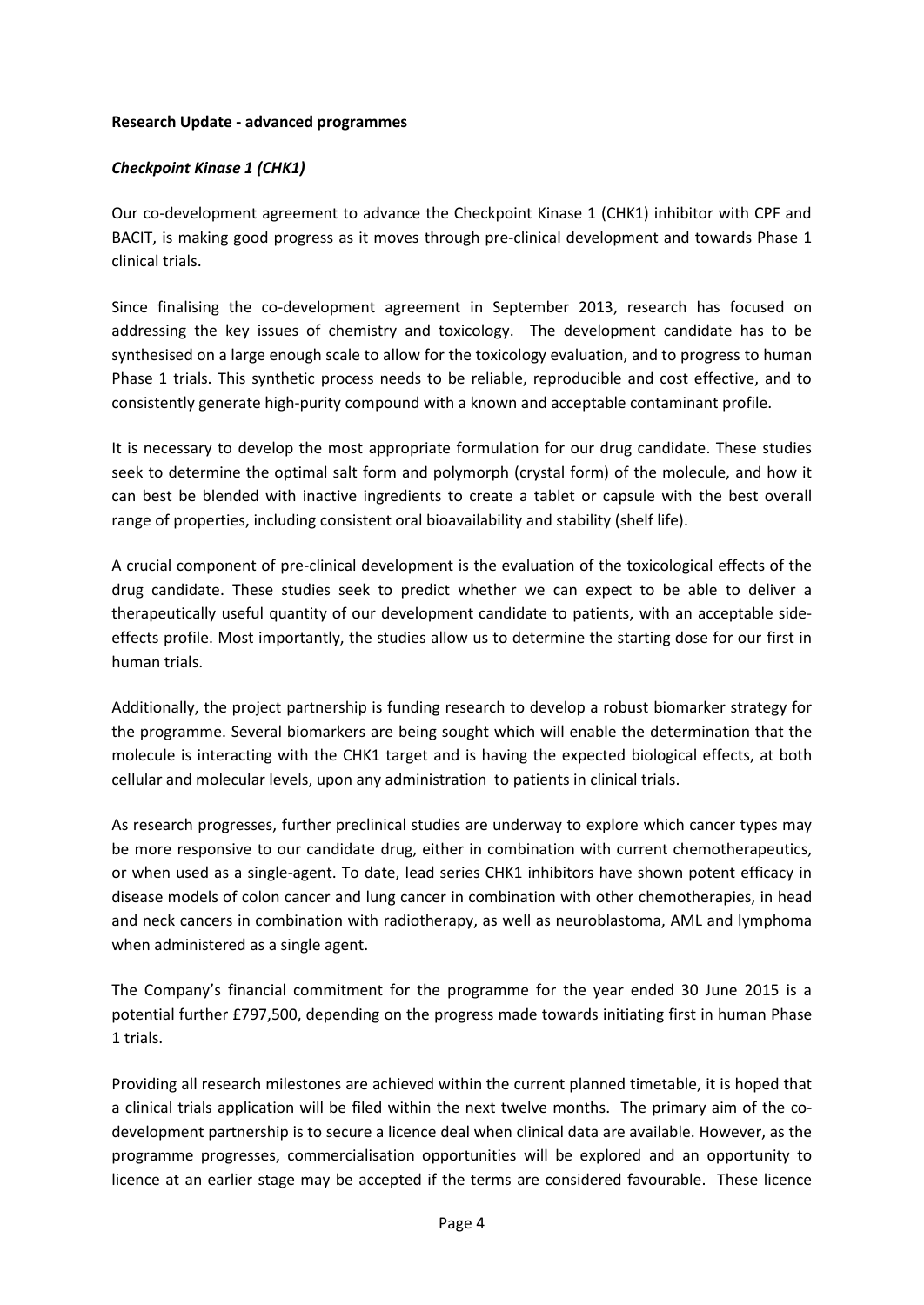## **Research Update - advanced programmes**

## *Checkpoint Kinase 1 (CHK1)*

Our co-development agreement to advance the Checkpoint Kinase 1 (CHK1) inhibitor with CPF and BACIT, is making good progress as it moves through pre-clinical development and towards Phase 1 clinical trials.

Since finalising the co-development agreement in September 2013, research has focused on addressing the key issues of chemistry and toxicology. The development candidate has to be synthesised on a large enough scale to allow for the toxicology evaluation, and to progress to human Phase 1 trials. This synthetic process needs to be reliable, reproducible and cost effective, and to consistently generate high-purity compound with a known and acceptable contaminant profile.

It is necessary to develop the most appropriate formulation for our drug candidate. These studies seek to determine the optimal salt form and polymorph (crystal form) of the molecule, and how it can best be blended with inactive ingredients to create a tablet or capsule with the best overall range of properties, including consistent oral bioavailability and stability (shelf life).

A crucial component of pre-clinical development is the evaluation of the toxicological effects of the drug candidate. These studies seek to predict whether we can expect to be able to deliver a therapeutically useful quantity of our development candidate to patients, with an acceptable sideeffects profile. Most importantly, the studies allow us to determine the starting dose for our first in human trials.

Additionally, the project partnership is funding research to develop a robust biomarker strategy for the programme. Several biomarkers are being sought which will enable the determination that the molecule is interacting with the CHK1 target and is having the expected biological effects, at both cellular and molecular levels, upon any administration to patients in clinical trials.

As research progresses, further preclinical studies are underway to explore which cancer types may be more responsive to our candidate drug, either in combination with current chemotherapeutics, or when used as a single-agent. To date, lead series CHK1 inhibitors have shown potent efficacy in disease models of colon cancer and lung cancer in combination with other chemotherapies, in head and neck cancers in combination with radiotherapy, as well as neuroblastoma, AML and lymphoma when administered as a single agent.

The Company's financial commitment for the programme for the year ended 30 June 2015 is a potential further £797,500, depending on the progress made towards initiating first in human Phase 1 trials.

Providing all research milestones are achieved within the current planned timetable, it is hoped that a clinical trials application will be filed within the next twelve months. The primary aim of the codevelopment partnership is to secure a licence deal when clinical data are available. However, as the programme progresses, commercialisation opportunities will be explored and an opportunity to licence at an earlier stage may be accepted if the terms are considered favourable. These licence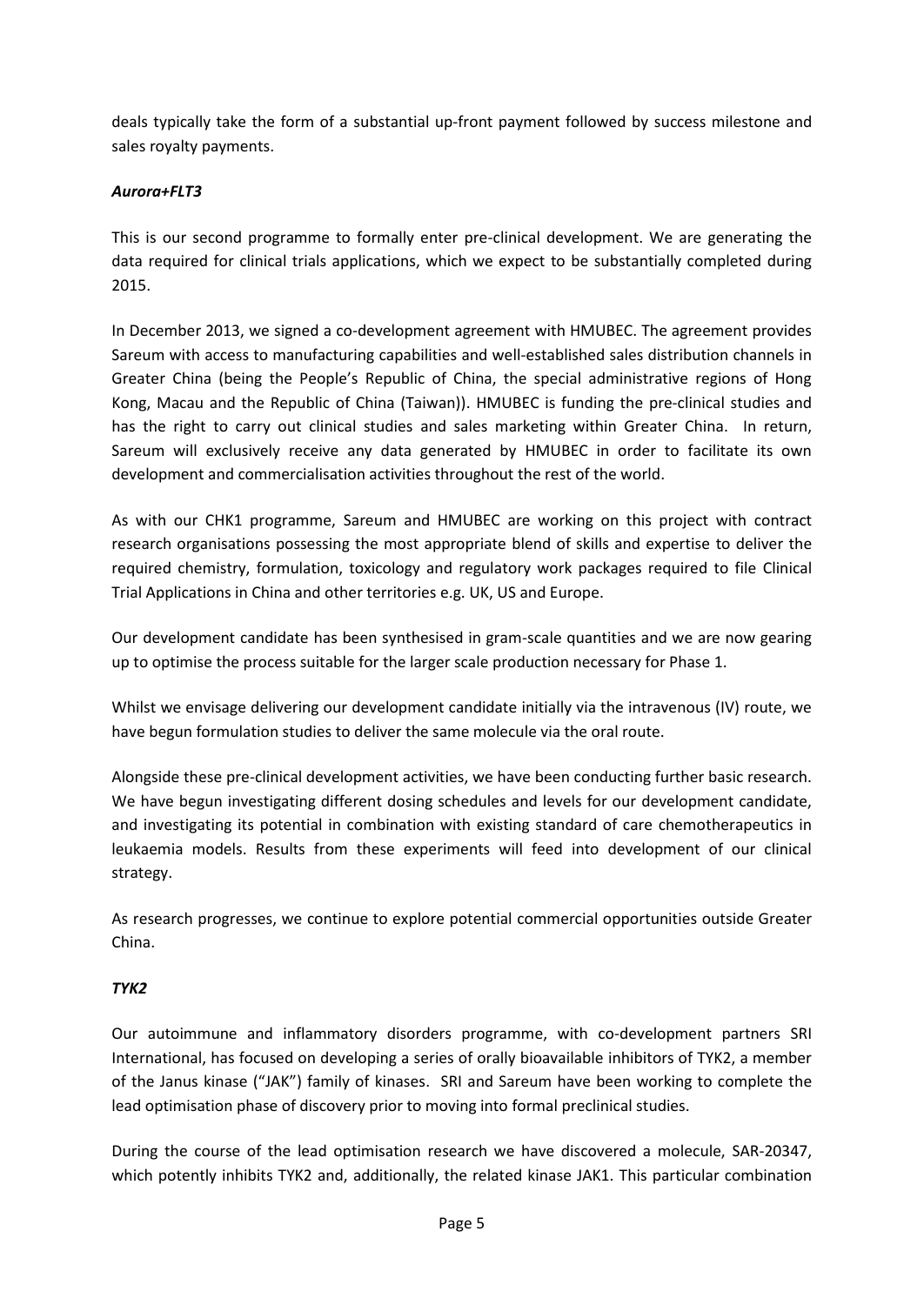deals typically take the form of a substantial up-front payment followed by success milestone and sales royalty payments.

# *Aurora+FLT3*

This is our second programme to formally enter pre-clinical development. We are generating the data required for clinical trials applications, which we expect to be substantially completed during 2015.

In December 2013, we signed a co-development agreement with HMUBEC. The agreement provides Sareum with access to manufacturing capabilities and well-established sales distribution channels in Greater China (being the People's Republic of China, the special administrative regions of Hong Kong, Macau and the Republic of China (Taiwan)). HMUBEC is funding the pre-clinical studies and has the right to carry out clinical studies and sales marketing within Greater China. In return, Sareum will exclusively receive any data generated by HMUBEC in order to facilitate its own development and commercialisation activities throughout the rest of the world.

As with our CHK1 programme, Sareum and HMUBEC are working on this project with contract research organisations possessing the most appropriate blend of skills and expertise to deliver the required chemistry, formulation, toxicology and regulatory work packages required to file Clinical Trial Applications in China and other territories e.g. UK, US and Europe.

Our development candidate has been synthesised in gram-scale quantities and we are now gearing up to optimise the process suitable for the larger scale production necessary for Phase 1.

Whilst we envisage delivering our development candidate initially via the intravenous (IV) route, we have begun formulation studies to deliver the same molecule via the oral route.

Alongside these pre-clinical development activities, we have been conducting further basic research. We have begun investigating different dosing schedules and levels for our development candidate, and investigating its potential in combination with existing standard of care chemotherapeutics in leukaemia models. Results from these experiments will feed into development of our clinical strategy.

As research progresses, we continue to explore potential commercial opportunities outside Greater China.

# *TYK2*

Our autoimmune and inflammatory disorders programme, with co-development partners SRI International, has focused on developing a series of orally bioavailable inhibitors of TYK2, a member of the Janus kinase ("JAK") family of kinases. SRI and Sareum have been working to complete the lead optimisation phase of discovery prior to moving into formal preclinical studies.

During the course of the lead optimisation research we have discovered a molecule, SAR-20347, which potently inhibits TYK2 and, additionally, the related kinase JAK1. This particular combination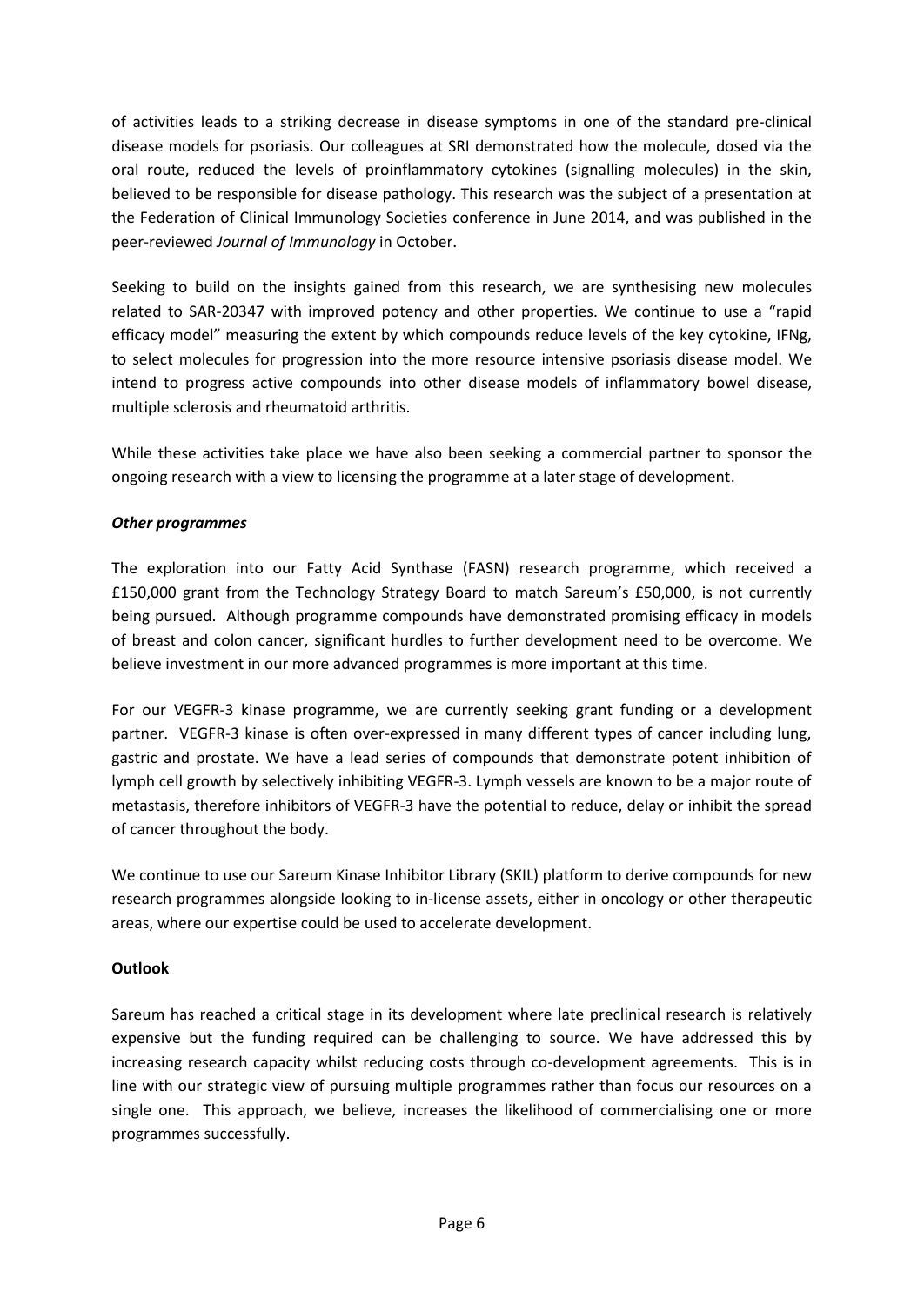of activities leads to a striking decrease in disease symptoms in one of the standard pre-clinical disease models for psoriasis. Our colleagues at SRI demonstrated how the molecule, dosed via the oral route, reduced the levels of proinflammatory cytokines (signalling molecules) in the skin, believed to be responsible for disease pathology. This research was the subject of a presentation at the Federation of Clinical Immunology Societies conference in June 2014, and was published in the peer-reviewed *Journal of Immunology* in October.

Seeking to build on the insights gained from this research, we are synthesising new molecules related to SAR-20347 with improved potency and other properties. We continue to use a "rapid efficacy model" measuring the extent by which compounds reduce levels of the key cytokine, IFNg, to select molecules for progression into the more resource intensive psoriasis disease model. We intend to progress active compounds into other disease models of inflammatory bowel disease, multiple sclerosis and rheumatoid arthritis.

While these activities take place we have also been seeking a commercial partner to sponsor the ongoing research with a view to licensing the programme at a later stage of development.

# *Other programmes*

The exploration into our Fatty Acid Synthase (FASN) research programme, which received a £150,000 grant from the Technology Strategy Board to match Sareum's £50,000, is not currently being pursued. Although programme compounds have demonstrated promising efficacy in models of breast and colon cancer, significant hurdles to further development need to be overcome. We believe investment in our more advanced programmes is more important at this time.

For our VEGFR-3 kinase programme, we are currently seeking grant funding or a development partner. VEGFR-3 kinase is often over-expressed in many different types of cancer including lung, gastric and prostate. We have a lead series of compounds that demonstrate potent inhibition of lymph cell growth by selectively inhibiting VEGFR-3. Lymph vessels are known to be a major route of metastasis, therefore inhibitors of VEGFR-3 have the potential to reduce, delay or inhibit the spread of cancer throughout the body.

We continue to use our Sareum Kinase Inhibitor Library (SKIL) platform to derive compounds for new research programmes alongside looking to in-license assets, either in oncology or other therapeutic areas, where our expertise could be used to accelerate development.

# **Outlook**

Sareum has reached a critical stage in its development where late preclinical research is relatively expensive but the funding required can be challenging to source. We have addressed this by increasing research capacity whilst reducing costs through co-development agreements. This is in line with our strategic view of pursuing multiple programmes rather than focus our resources on a single one. This approach, we believe, increases the likelihood of commercialising one or more programmes successfully.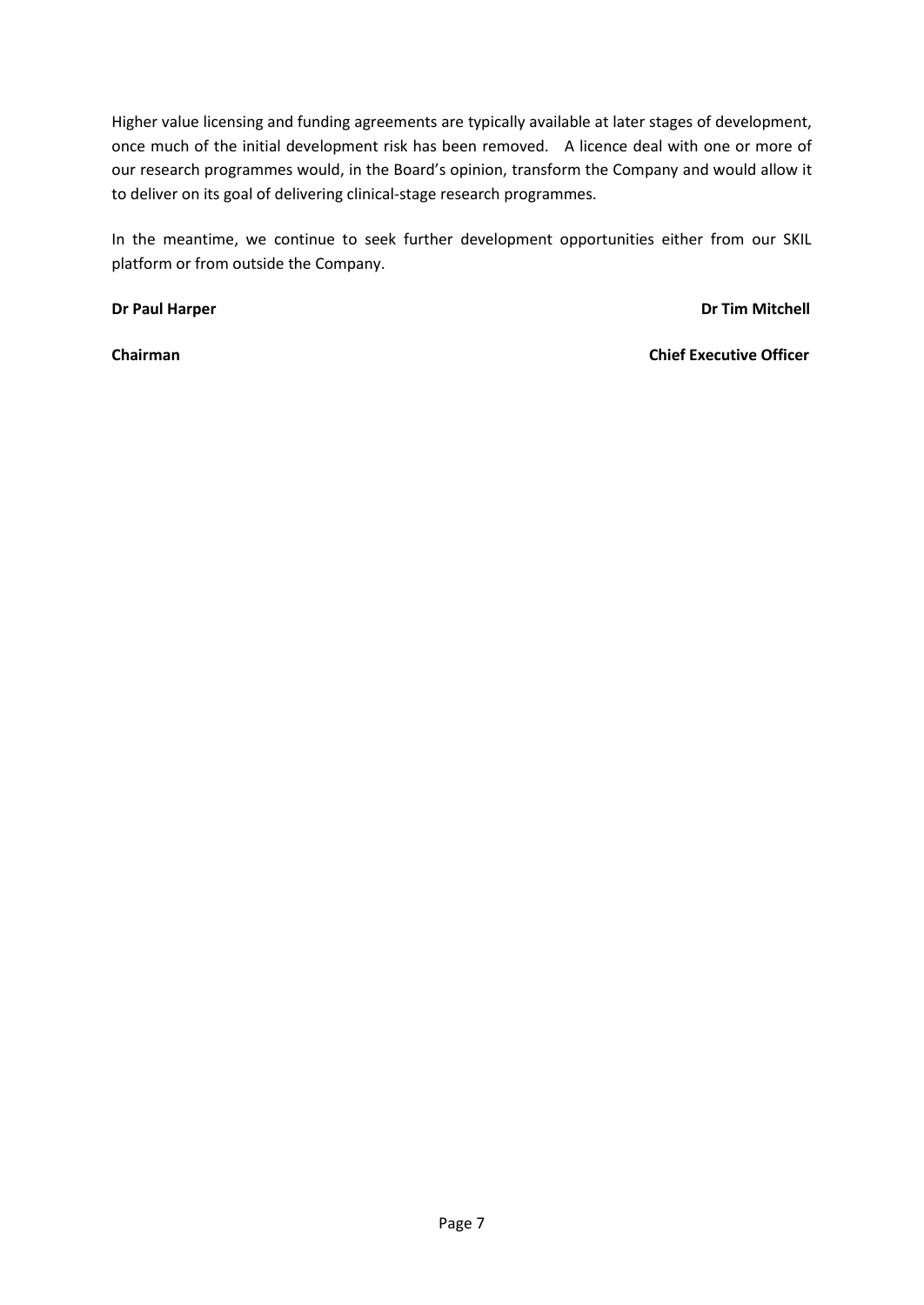Higher value licensing and funding agreements are typically available at later stages of development, once much of the initial development risk has been removed. A licence deal with one or more of our research programmes would, in the Board's opinion, transform the Company and would allow it to deliver on its goal of delivering clinical-stage research programmes.

In the meantime, we continue to seek further development opportunities either from our SKIL platform or from outside the Company.

**Dr Paul Harper Dr Tim Mitchell** 

**Chairman Chief Executive Officer**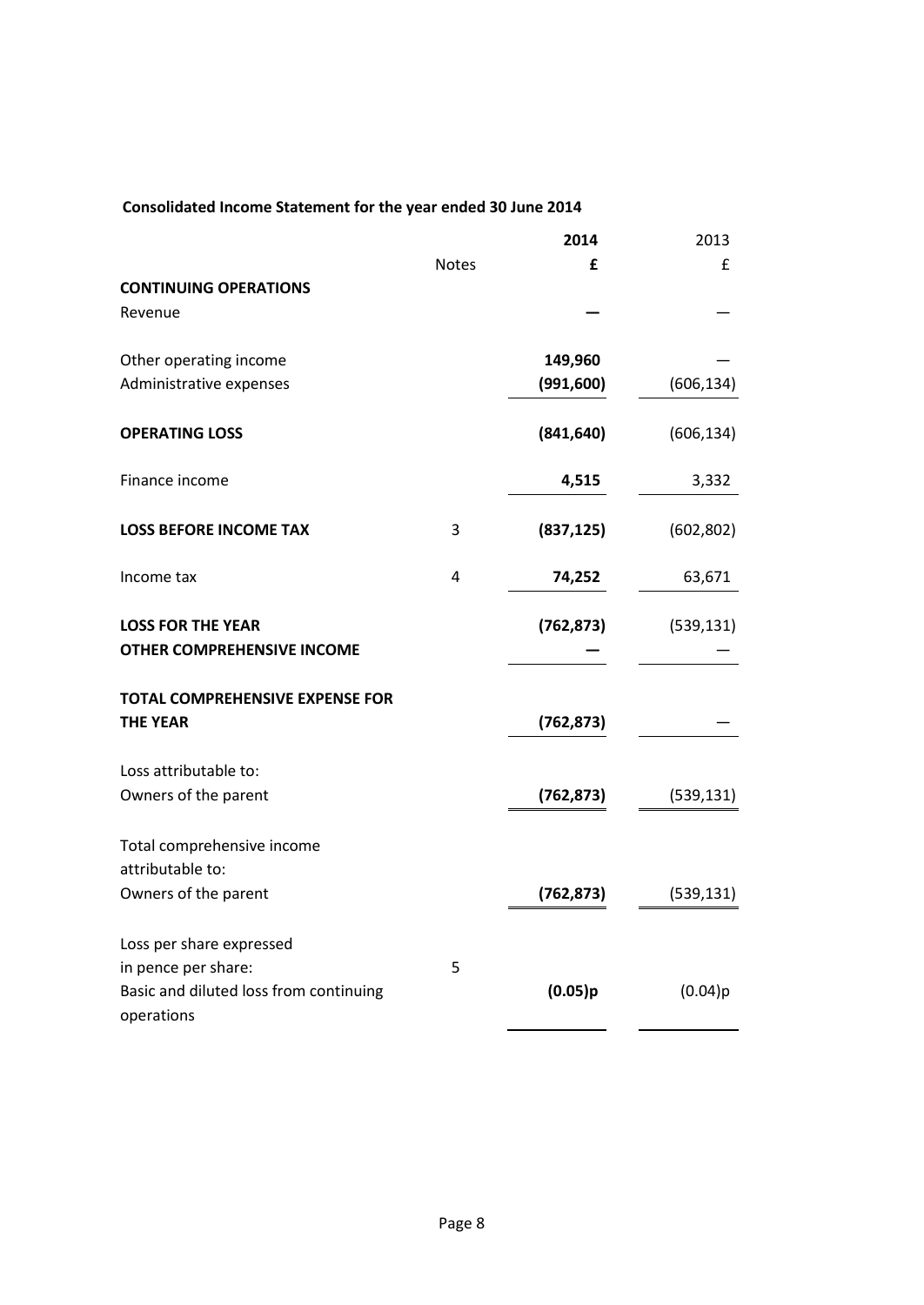# **Consolidated Income Statement for the year ended 30 June 2014**

|                                                      |              | 2014       | 2013       |
|------------------------------------------------------|--------------|------------|------------|
|                                                      | <b>Notes</b> | £          | £          |
| <b>CONTINUING OPERATIONS</b><br>Revenue              |              |            |            |
| Other operating income                               |              | 149,960    |            |
| Administrative expenses                              |              | (991, 600) | (606, 134) |
| <b>OPERATING LOSS</b>                                |              | (841, 640) | (606, 134) |
| Finance income                                       |              | 4,515      | 3,332      |
| <b>LOSS BEFORE INCOME TAX</b>                        | 3            | (837, 125) | (602, 802) |
| Income tax                                           | 4            | 74,252     | 63,671     |
| <b>LOSS FOR THE YEAR</b>                             |              | (762, 873) | (539, 131) |
| <b>OTHER COMPREHENSIVE INCOME</b>                    |              |            |            |
| <b>TOTAL COMPREHENSIVE EXPENSE FOR</b>               |              |            |            |
| <b>THE YEAR</b>                                      |              | (762, 873) |            |
| Loss attributable to:                                |              |            |            |
| Owners of the parent                                 |              | (762, 873) | (539, 131) |
| Total comprehensive income                           |              |            |            |
| attributable to:                                     |              |            |            |
| Owners of the parent                                 |              | (762, 873) | (539, 131) |
| Loss per share expressed                             |              |            |            |
| in pence per share:                                  | 5            |            |            |
| Basic and diluted loss from continuing<br>operations |              | (0.05)p    | (0.04)p    |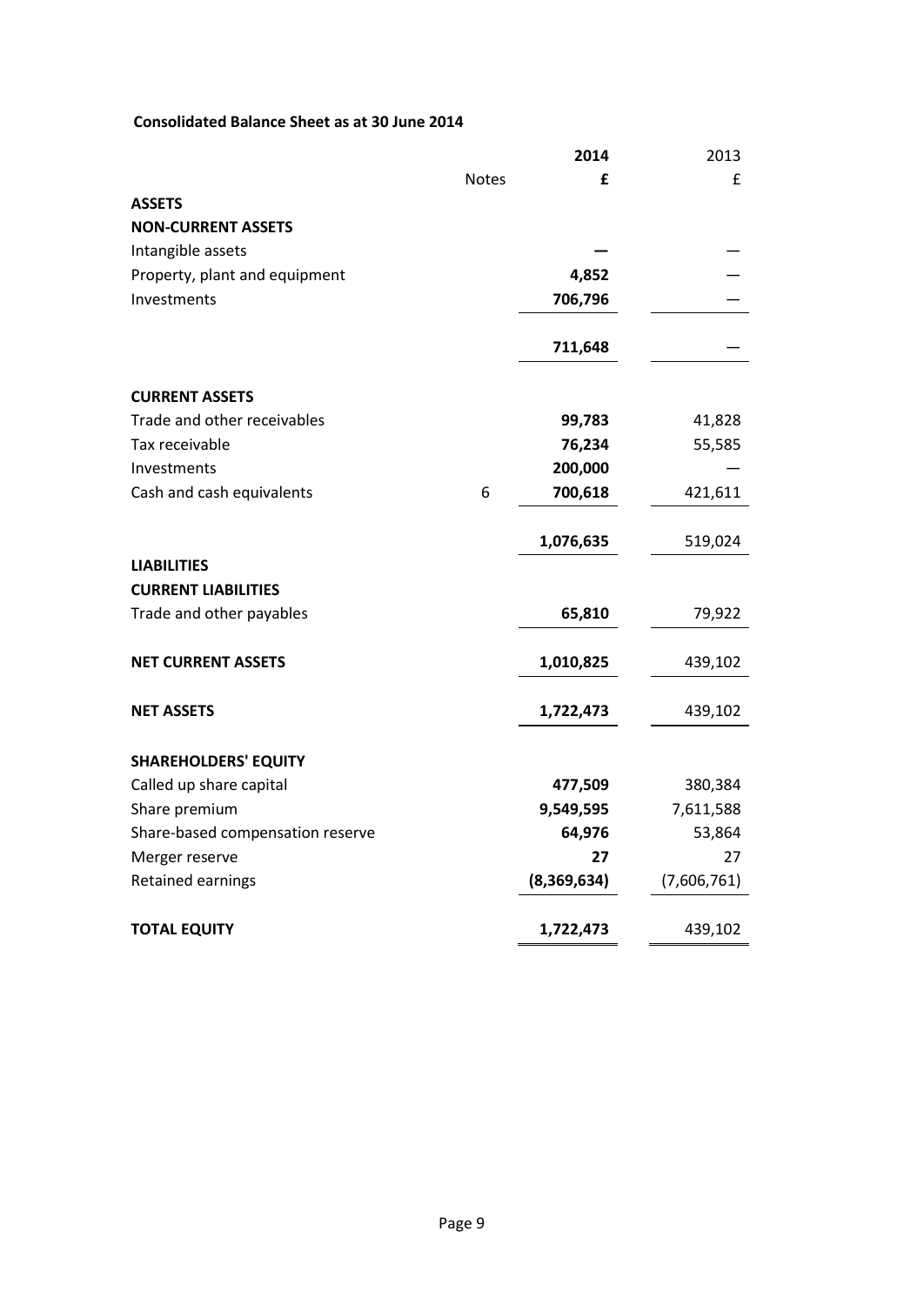# **Consolidated Balance Sheet as at 30 June 2014**

|                                  |              | 2014        | 2013        |
|----------------------------------|--------------|-------------|-------------|
|                                  | <b>Notes</b> | £           | £           |
| <b>ASSETS</b>                    |              |             |             |
| <b>NON-CURRENT ASSETS</b>        |              |             |             |
| Intangible assets                |              |             |             |
| Property, plant and equipment    |              | 4,852       |             |
| Investments                      |              | 706,796     |             |
|                                  |              | 711,648     |             |
| <b>CURRENT ASSETS</b>            |              |             |             |
| Trade and other receivables      |              | 99,783      | 41,828      |
| Tax receivable                   |              | 76,234      | 55,585      |
| Investments                      |              | 200,000     |             |
| Cash and cash equivalents        | 6            | 700,618     | 421,611     |
|                                  |              | 1,076,635   | 519,024     |
| <b>LIABILITIES</b>               |              |             |             |
| <b>CURRENT LIABILITIES</b>       |              |             |             |
| Trade and other payables         |              | 65,810      | 79,922      |
| <b>NET CURRENT ASSETS</b>        |              | 1,010,825   | 439,102     |
| <b>NET ASSETS</b>                |              | 1,722,473   | 439,102     |
| <b>SHAREHOLDERS' EQUITY</b>      |              |             |             |
| Called up share capital          |              | 477,509     | 380,384     |
| Share premium                    |              | 9,549,595   | 7,611,588   |
| Share-based compensation reserve |              | 64,976      | 53,864      |
| Merger reserve                   |              | 27          | 27          |
| Retained earnings                |              | (8,369,634) | (7,606,761) |
| <b>TOTAL EQUITY</b>              |              | 1,722,473   | 439,102     |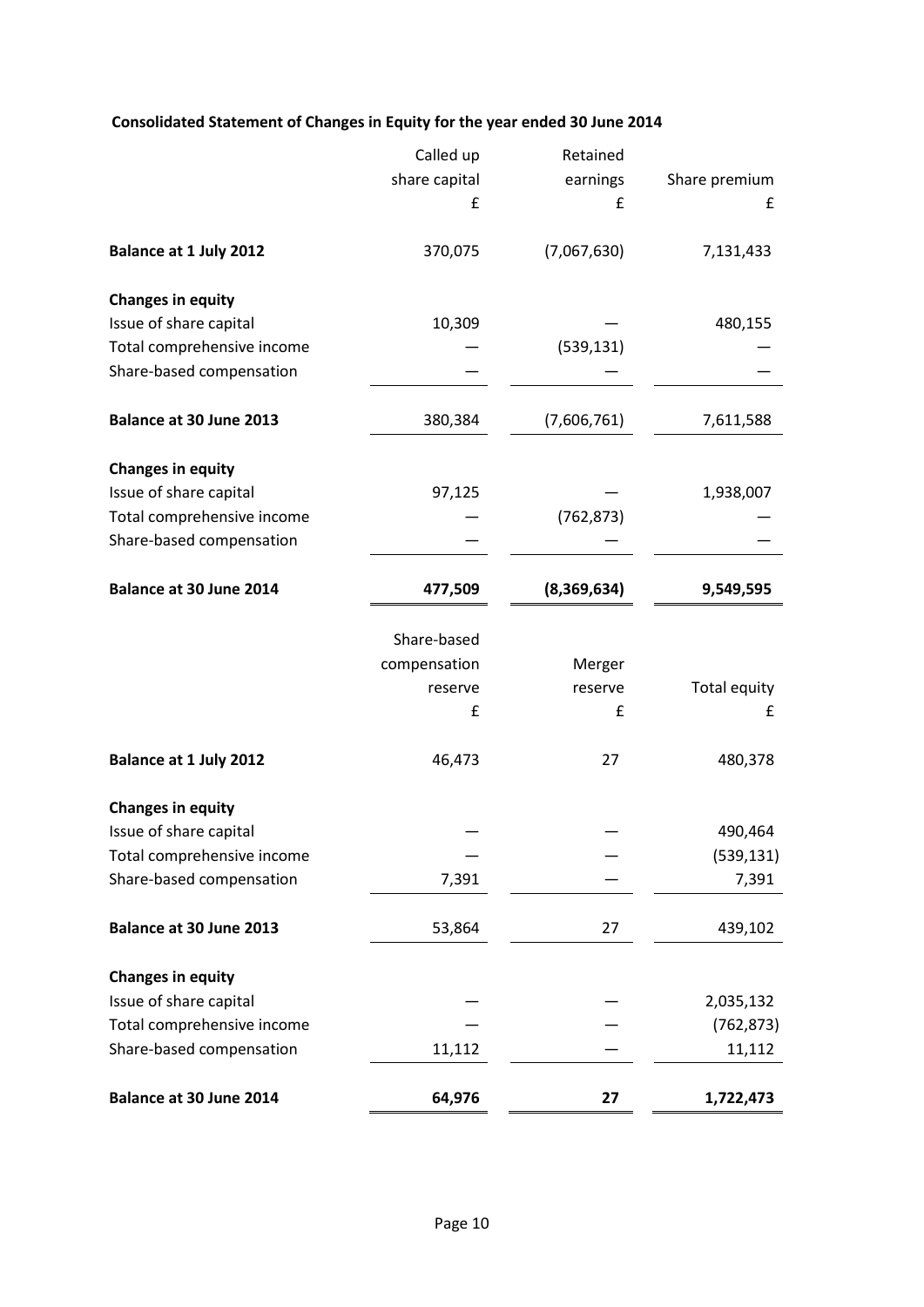# **Consolidated Statement of Changes in Equity for the year ended 30 June 2014**

|                               | Called up     | Retained    |               |
|-------------------------------|---------------|-------------|---------------|
|                               | share capital | earnings    | Share premium |
|                               | £             | £           | £             |
| <b>Balance at 1 July 2012</b> | 370,075       | (7,067,630) | 7,131,433     |
| <b>Changes in equity</b>      |               |             |               |
| Issue of share capital        | 10,309        |             | 480,155       |
| Total comprehensive income    |               | (539, 131)  |               |
| Share-based compensation      |               |             |               |
| Balance at 30 June 2013       | 380,384       | (7,606,761) | 7,611,588     |
| <b>Changes in equity</b>      |               |             |               |
| Issue of share capital        | 97,125        |             | 1,938,007     |
| Total comprehensive income    |               | (762, 873)  |               |
| Share-based compensation      |               |             |               |
| Balance at 30 June 2014       | 477,509       | (8,369,634) | 9,549,595     |
|                               | Share-based   |             |               |
|                               | compensation  | Merger      |               |
|                               | reserve       | reserve     | Total equity  |
|                               | £             | £           | £             |
| <b>Balance at 1 July 2012</b> | 46,473        | 27          | 480,378       |
| <b>Changes in equity</b>      |               |             |               |
| Issue of share capital        |               |             | 490,464       |
| Total comprehensive income    |               |             | (539, 131)    |
| Share-based compensation      | 7,391         |             | 7,391         |
| Balance at 30 June 2013       | 53,864        | 27          | 439,102       |
| <b>Changes in equity</b>      |               |             |               |
| Issue of share capital        |               |             | 2,035,132     |
| Total comprehensive income    |               |             | (762, 873)    |
| Share-based compensation      | 11,112        |             | 11,112        |
| Balance at 30 June 2014       | 64,976        | 27          | 1,722,473     |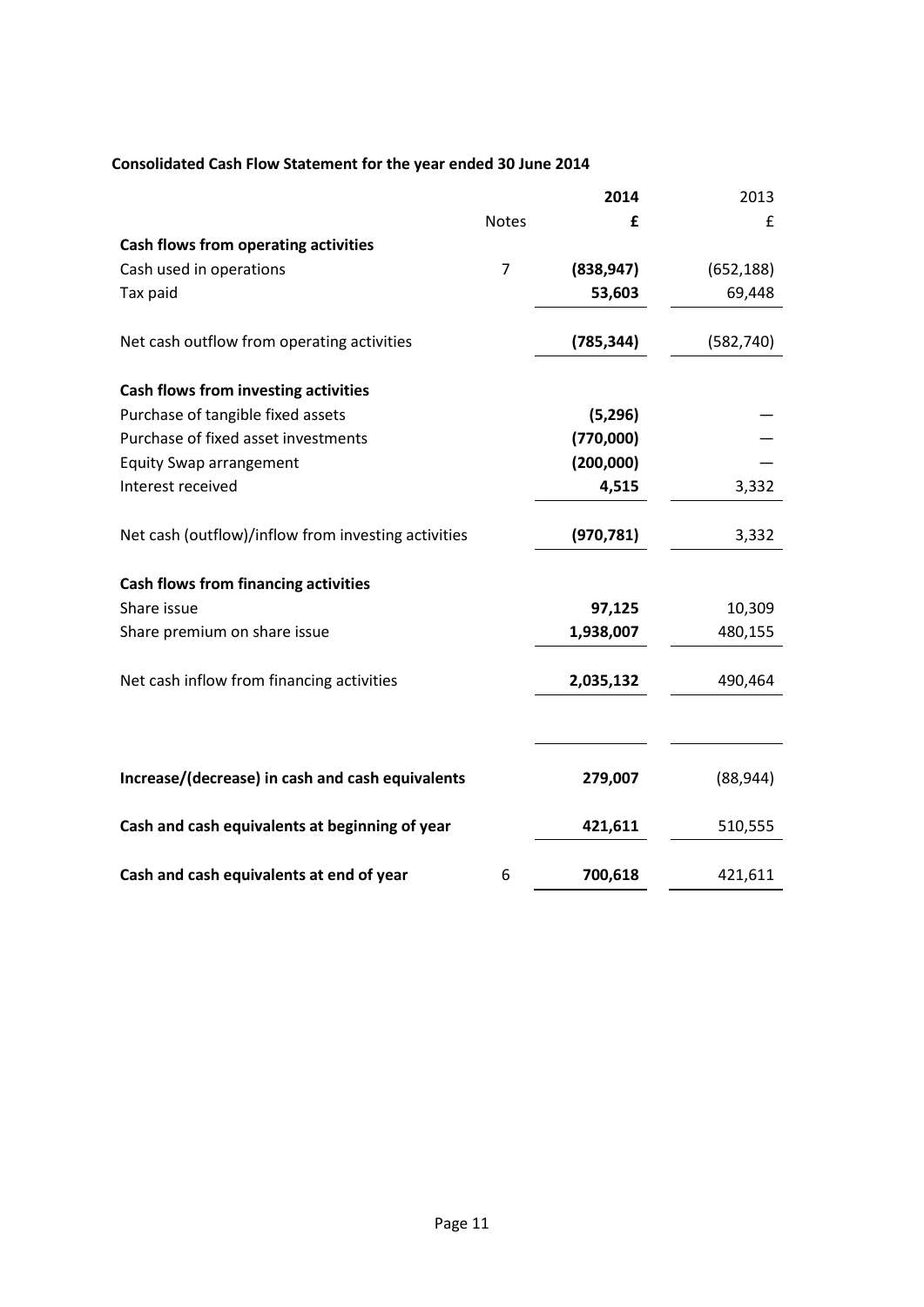# **Consolidated Cash Flow Statement for the year ended 30 June 2014**

|                                                     |              | 2014       | 2013       |
|-----------------------------------------------------|--------------|------------|------------|
|                                                     | <b>Notes</b> | £          | £          |
| Cash flows from operating activities                |              |            |            |
| Cash used in operations                             | 7            | (838, 947) | (652, 188) |
| Tax paid                                            |              | 53,603     | 69,448     |
| Net cash outflow from operating activities          |              | (785, 344) | (582, 740) |
| <b>Cash flows from investing activities</b>         |              |            |            |
| Purchase of tangible fixed assets                   |              | (5,296)    |            |
| Purchase of fixed asset investments                 |              | (770,000)  |            |
| <b>Equity Swap arrangement</b>                      |              | (200,000)  |            |
| Interest received                                   |              | 4,515      | 3,332      |
| Net cash (outflow)/inflow from investing activities |              | (970, 781) | 3,332      |
| <b>Cash flows from financing activities</b>         |              |            |            |
| Share issue                                         |              | 97,125     | 10,309     |
| Share premium on share issue                        |              | 1,938,007  | 480,155    |
| Net cash inflow from financing activities           |              | 2,035,132  | 490,464    |
|                                                     |              |            |            |
| Increase/(decrease) in cash and cash equivalents    |              | 279,007    | (88, 944)  |
| Cash and cash equivalents at beginning of year      |              | 421,611    | 510,555    |
| Cash and cash equivalents at end of year            | 6            | 700,618    | 421,611    |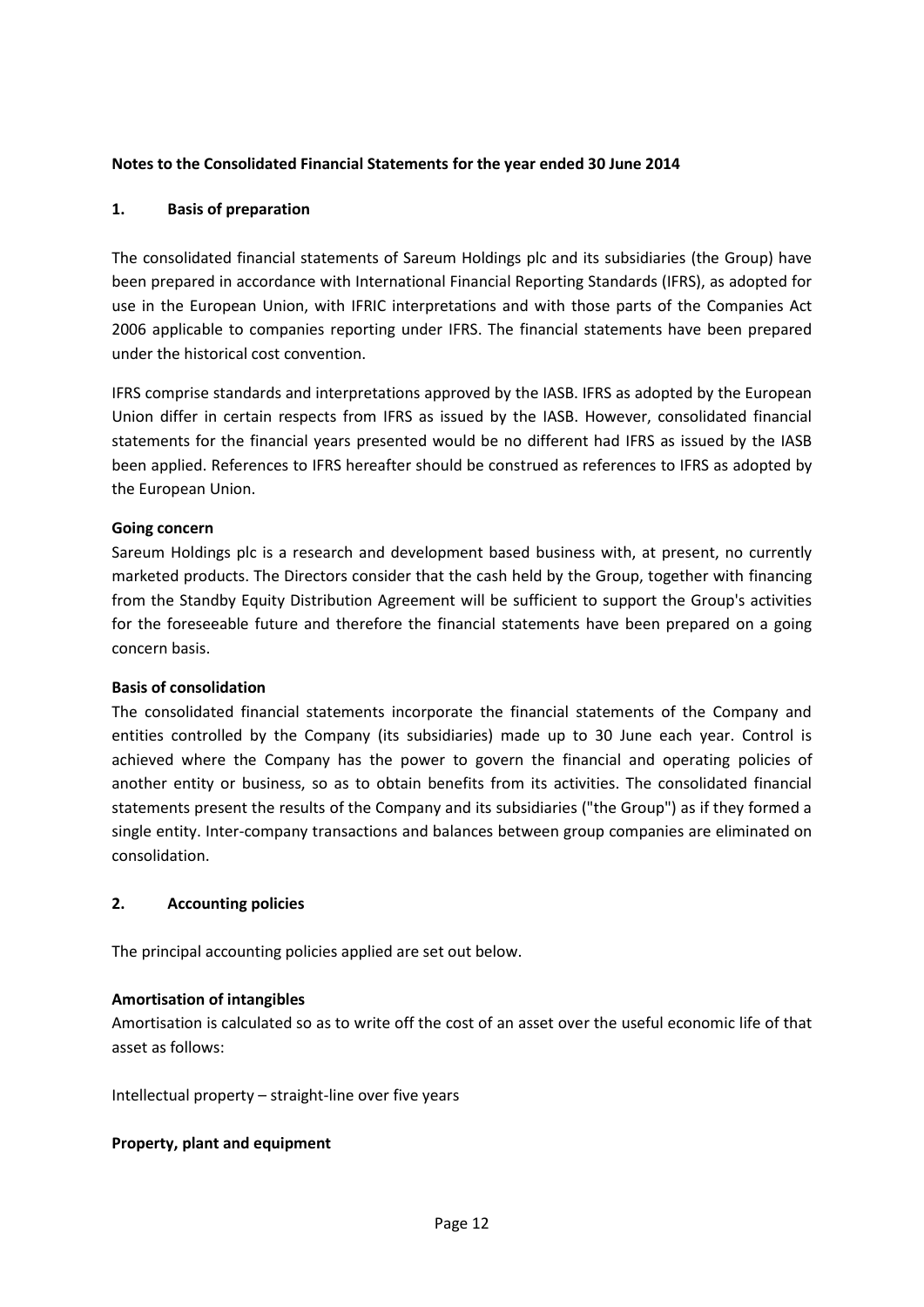## **Notes to the Consolidated Financial Statements for the year ended 30 June 2014**

## **1. Basis of preparation**

The consolidated financial statements of Sareum Holdings plc and its subsidiaries (the Group) have been prepared in accordance with International Financial Reporting Standards (IFRS), as adopted for use in the European Union, with IFRIC interpretations and with those parts of the Companies Act 2006 applicable to companies reporting under IFRS. The financial statements have been prepared under the historical cost convention.

IFRS comprise standards and interpretations approved by the IASB. IFRS as adopted by the European Union differ in certain respects from IFRS as issued by the IASB. However, consolidated financial statements for the financial years presented would be no different had IFRS as issued by the IASB been applied. References to IFRS hereafter should be construed as references to IFRS as adopted by the European Union.

#### **Going concern**

Sareum Holdings plc is a research and development based business with, at present, no currently marketed products. The Directors consider that the cash held by the Group, together with financing from the Standby Equity Distribution Agreement will be sufficient to support the Group's activities for the foreseeable future and therefore the financial statements have been prepared on a going concern basis.

#### **Basis of consolidation**

The consolidated financial statements incorporate the financial statements of the Company and entities controlled by the Company (its subsidiaries) made up to 30 June each year. Control is achieved where the Company has the power to govern the financial and operating policies of another entity or business, so as to obtain benefits from its activities. The consolidated financial statements present the results of the Company and its subsidiaries ("the Group") as if they formed a single entity. Inter-company transactions and balances between group companies are eliminated on consolidation.

#### **2. Accounting policies**

The principal accounting policies applied are set out below.

#### **Amortisation of intangibles**

Amortisation is calculated so as to write off the cost of an asset over the useful economic life of that asset as follows:

Intellectual property – straight-line over five years

#### **Property, plant and equipment**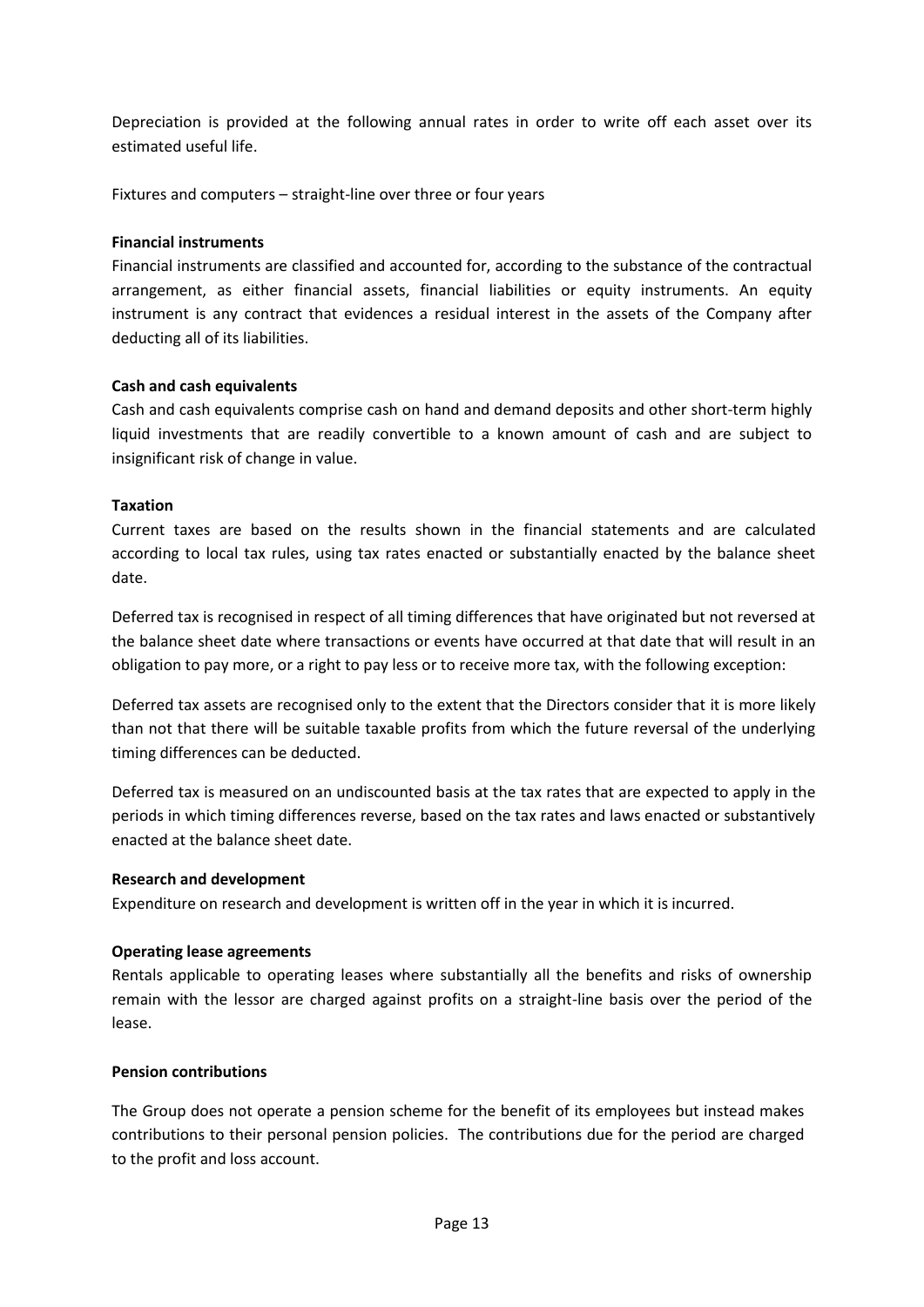Depreciation is provided at the following annual rates in order to write off each asset over its estimated useful life.

Fixtures and computers – straight-line over three or four years

## **Financial instruments**

Financial instruments are classified and accounted for, according to the substance of the contractual arrangement, as either financial assets, financial liabilities or equity instruments. An equity instrument is any contract that evidences a residual interest in the assets of the Company after deducting all of its liabilities.

## **Cash and cash equivalents**

Cash and cash equivalents comprise cash on hand and demand deposits and other short-term highly liquid investments that are readily convertible to a known amount of cash and are subject to insignificant risk of change in value.

## **Taxation**

Current taxes are based on the results shown in the financial statements and are calculated according to local tax rules, using tax rates enacted or substantially enacted by the balance sheet date.

Deferred tax is recognised in respect of all timing differences that have originated but not reversed at the balance sheet date where transactions or events have occurred at that date that will result in an obligation to pay more, or a right to pay less or to receive more tax, with the following exception:

Deferred tax assets are recognised only to the extent that the Directors consider that it is more likely than not that there will be suitable taxable profits from which the future reversal of the underlying timing differences can be deducted.

Deferred tax is measured on an undiscounted basis at the tax rates that are expected to apply in the periods in which timing differences reverse, based on the tax rates and laws enacted or substantively enacted at the balance sheet date.

#### **Research and development**

Expenditure on research and development is written off in the year in which it is incurred.

# **Operating lease agreements**

Rentals applicable to operating leases where substantially all the benefits and risks of ownership remain with the lessor are charged against profits on a straight-line basis over the period of the lease.

#### **Pension contributions**

The Group does not operate a pension scheme for the benefit of its employees but instead makes contributions to their personal pension policies. The contributions due for the period are charged to the profit and loss account.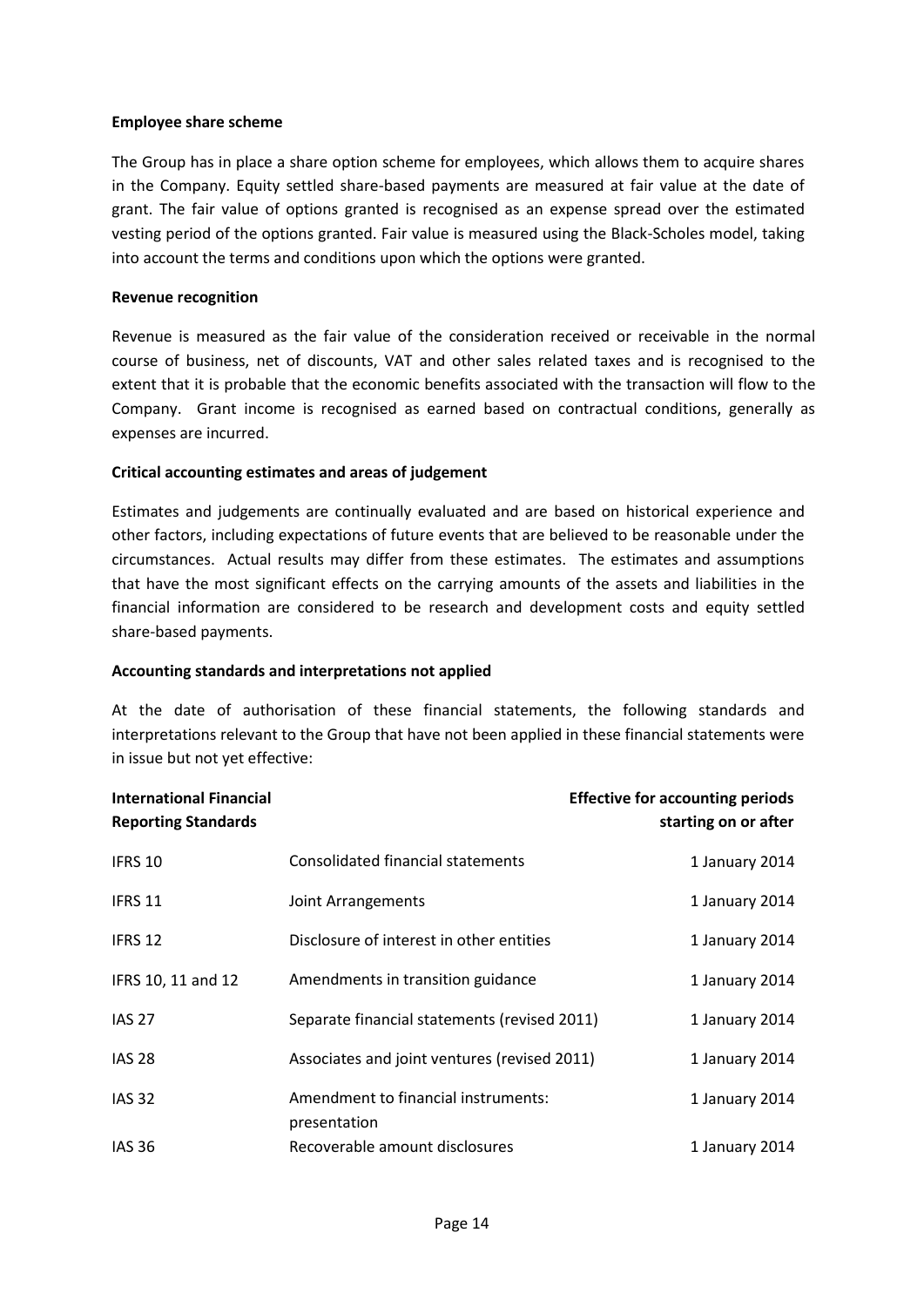#### **Employee share scheme**

The Group has in place a share option scheme for employees, which allows them to acquire shares in the Company. Equity settled share-based payments are measured at fair value at the date of grant. The fair value of options granted is recognised as an expense spread over the estimated vesting period of the options granted. Fair value is measured using the Black-Scholes model, taking into account the terms and conditions upon which the options were granted.

## **Revenue recognition**

Revenue is measured as the fair value of the consideration received or receivable in the normal course of business, net of discounts, VAT and other sales related taxes and is recognised to the extent that it is probable that the economic benefits associated with the transaction will flow to the Company. Grant income is recognised as earned based on contractual conditions, generally as expenses are incurred.

## **Critical accounting estimates and areas of judgement**

Estimates and judgements are continually evaluated and are based on historical experience and other factors, including expectations of future events that are believed to be reasonable under the circumstances. Actual results may differ from these estimates. The estimates and assumptions that have the most significant effects on the carrying amounts of the assets and liabilities in the financial information are considered to be research and development costs and equity settled share-based payments.

#### **Accounting standards and interpretations not applied**

At the date of authorisation of these financial statements, the following standards and interpretations relevant to the Group that have not been applied in these financial statements were in issue but not yet effective:

| <b>International Financial</b><br><b>Reporting Standards</b> |                                                     | <b>Effective for accounting periods</b><br>starting on or after |
|--------------------------------------------------------------|-----------------------------------------------------|-----------------------------------------------------------------|
| IFRS 10                                                      | Consolidated financial statements                   | 1 January 2014                                                  |
| IFRS 11                                                      | Joint Arrangements                                  | 1 January 2014                                                  |
| IFRS 12                                                      | Disclosure of interest in other entities            | 1 January 2014                                                  |
| IFRS 10, 11 and 12                                           | Amendments in transition guidance                   | 1 January 2014                                                  |
| <b>IAS 27</b>                                                | Separate financial statements (revised 2011)        | 1 January 2014                                                  |
| <b>IAS 28</b>                                                | Associates and joint ventures (revised 2011)        | 1 January 2014                                                  |
| <b>IAS 32</b>                                                | Amendment to financial instruments:<br>presentation | 1 January 2014                                                  |
| <b>IAS 36</b>                                                | Recoverable amount disclosures                      | 1 January 2014                                                  |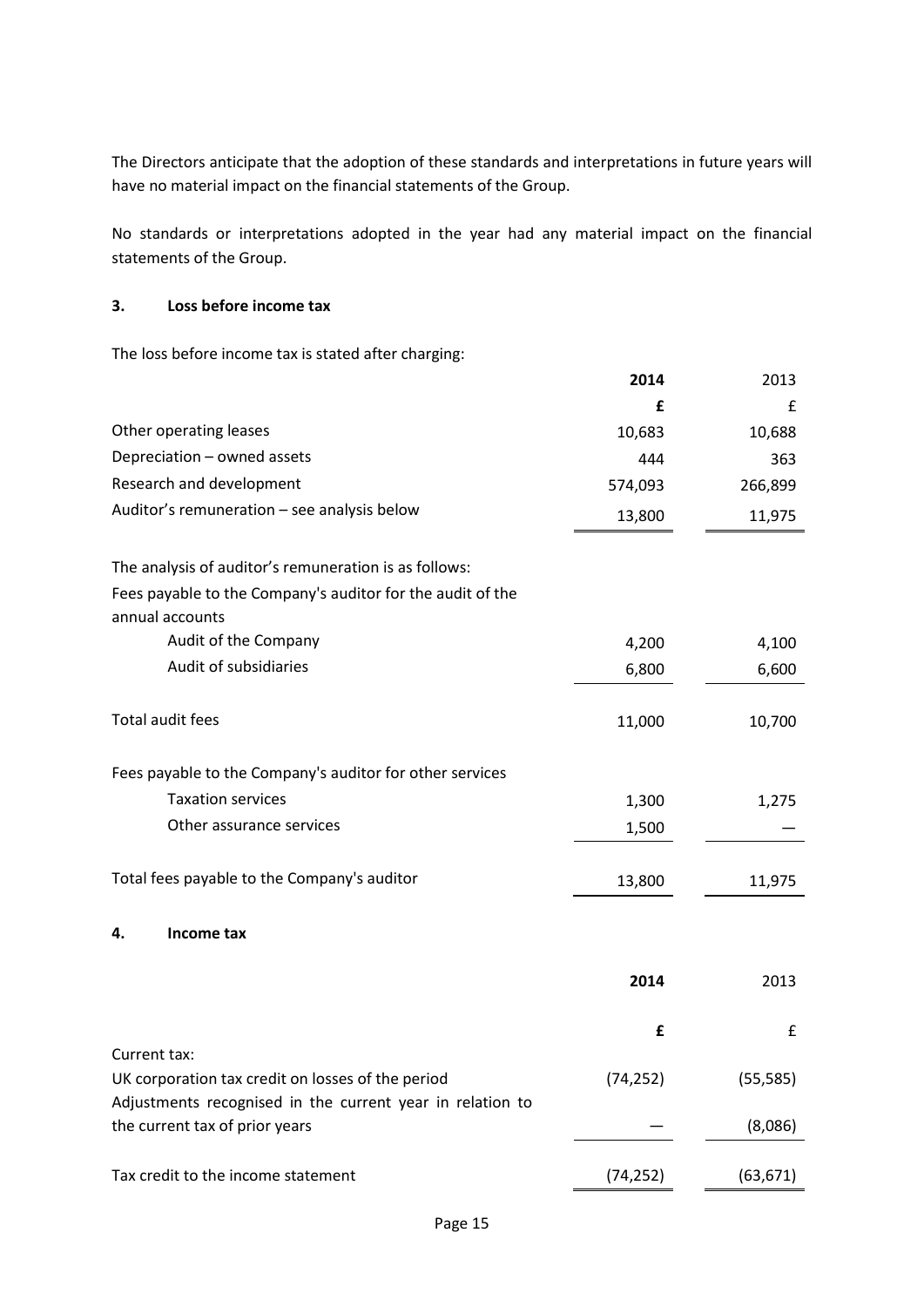The Directors anticipate that the adoption of these standards and interpretations in future years will have no material impact on the financial statements of the Group.

No standards or interpretations adopted in the year had any material impact on the financial statements of the Group.

#### **3. Loss before income tax**

The loss before income tax is stated after charging:

|                                                                                                                | 2014      | 2013      |
|----------------------------------------------------------------------------------------------------------------|-----------|-----------|
|                                                                                                                | £         | £         |
| Other operating leases                                                                                         | 10,683    | 10,688    |
| Depreciation - owned assets                                                                                    | 444       | 363       |
| Research and development                                                                                       | 574,093   | 266,899   |
| Auditor's remuneration - see analysis below                                                                    | 13,800    | 11,975    |
| The analysis of auditor's remuneration is as follows:                                                          |           |           |
| Fees payable to the Company's auditor for the audit of the<br>annual accounts                                  |           |           |
| Audit of the Company                                                                                           | 4,200     | 4,100     |
| Audit of subsidiaries                                                                                          | 6,800     | 6,600     |
|                                                                                                                |           |           |
| Total audit fees                                                                                               | 11,000    | 10,700    |
| Fees payable to the Company's auditor for other services                                                       |           |           |
| <b>Taxation services</b>                                                                                       | 1,300     | 1,275     |
| Other assurance services                                                                                       | 1,500     |           |
| Total fees payable to the Company's auditor                                                                    | 13,800    | 11,975    |
| Income tax<br>4.                                                                                               |           |           |
|                                                                                                                | 2014      | 2013      |
|                                                                                                                | £         | £         |
| Current tax:                                                                                                   |           |           |
| UK corporation tax credit on losses of the period<br>Adjustments recognised in the current year in relation to | (74, 252) | (55, 585) |
| the current tax of prior years                                                                                 |           | (8,086)   |
| Tax credit to the income statement                                                                             | (74, 252) | (63, 671) |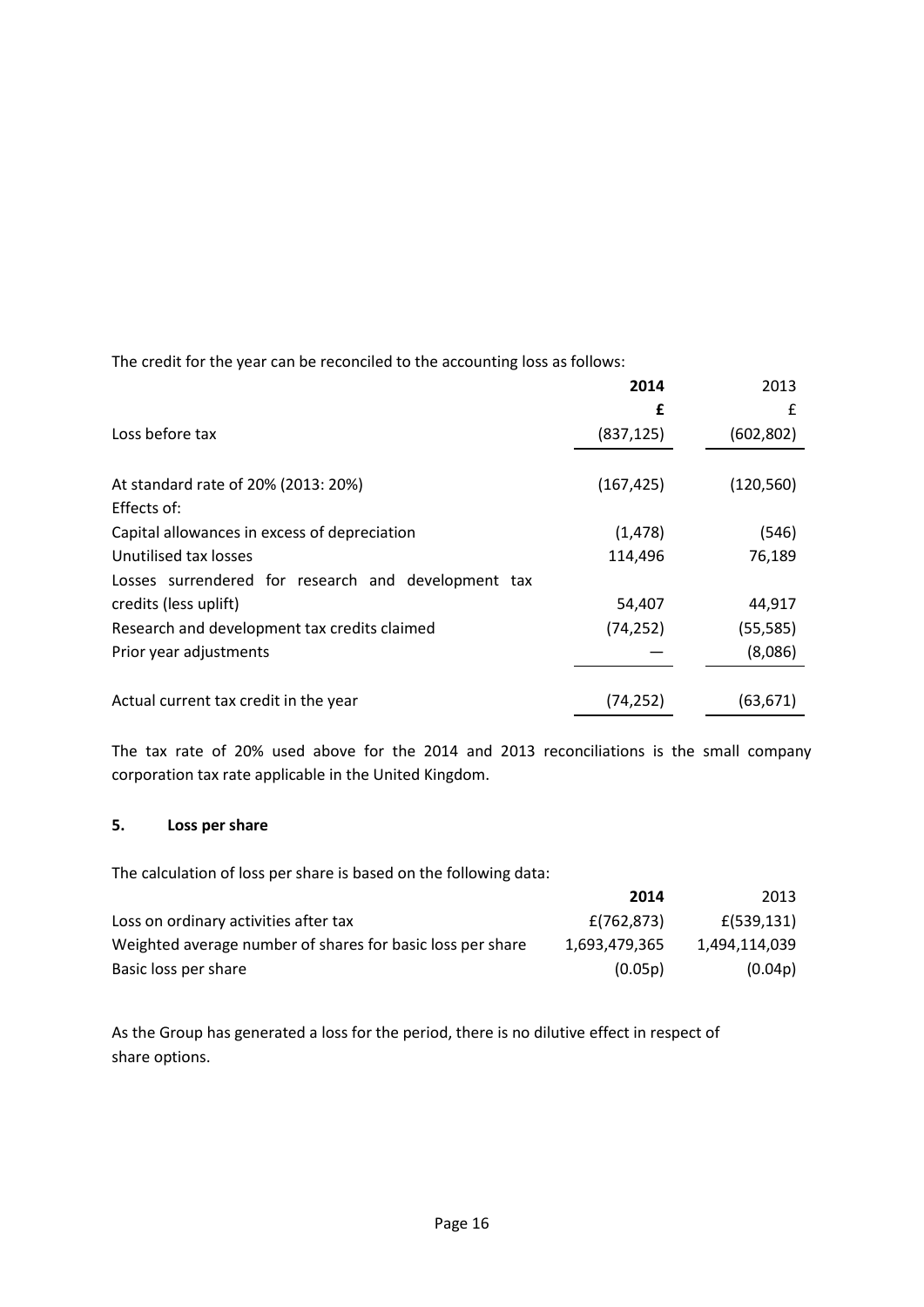The credit for the year can be reconciled to the accounting loss as follows:

|                                                     | 2014       | 2013       |
|-----------------------------------------------------|------------|------------|
|                                                     | £          | £          |
| Loss before tax                                     | (837, 125) | (602, 802) |
|                                                     |            |            |
| At standard rate of 20% (2013: 20%)                 | (167, 425) | (120, 560) |
| Effects of:                                         |            |            |
| Capital allowances in excess of depreciation        | (1, 478)   | (546)      |
| Unutilised tax losses                               | 114,496    | 76,189     |
| Losses surrendered for research and development tax |            |            |
| credits (less uplift)                               | 54,407     | 44,917     |
| Research and development tax credits claimed        | (74, 252)  | (55, 585)  |
| Prior year adjustments                              |            | (8,086)    |
|                                                     |            |            |
| Actual current tax credit in the year               | (74,252)   | (63, 671)  |

The tax rate of 20% used above for the 2014 and 2013 reconciliations is the small company corporation tax rate applicable in the United Kingdom.

# **5. Loss per share**

The calculation of loss per share is based on the following data:

|                                                            | 2014          | 2013          |
|------------------------------------------------------------|---------------|---------------|
| Loss on ordinary activities after tax                      | E(762, 873)   | £(539,131)    |
| Weighted average number of shares for basic loss per share | 1.693.479.365 | 1.494.114.039 |
| Basic loss per share                                       | (0.05p)       | (0.04p)       |

As the Group has generated a loss for the period, there is no dilutive effect in respect of share options.